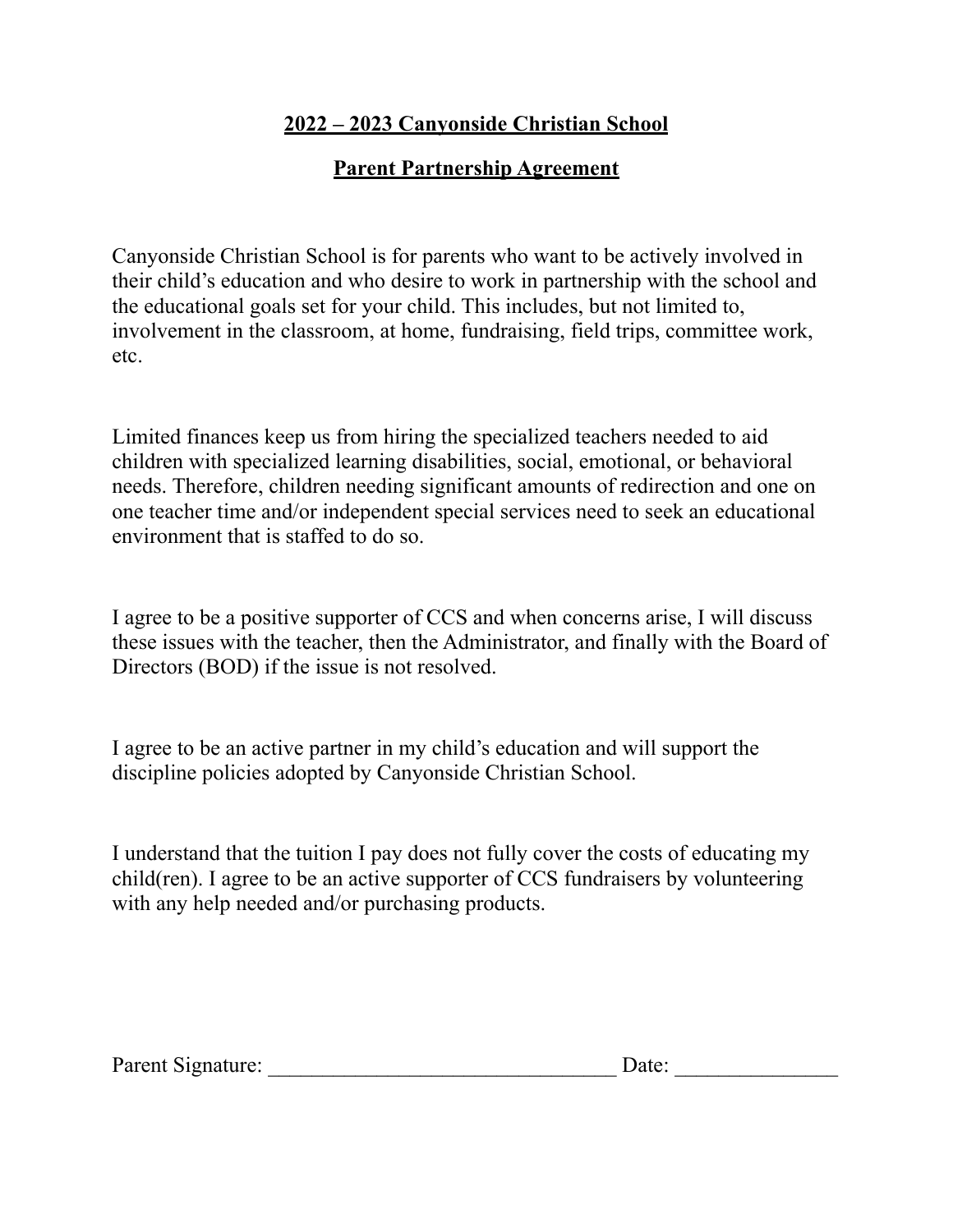## **2022 – 2023 Canyonside Christian School**

## **Parent Partnership Agreement**

Canyonside Christian School is for parents who want to be actively involved in their child's education and who desire to work in partnership with the school and the educational goals set for your child. This includes, but not limited to, involvement in the classroom, at home, fundraising, field trips, committee work, etc.

Limited finances keep us from hiring the specialized teachers needed to aid children with specialized learning disabilities, social, emotional, or behavioral needs. Therefore, children needing significant amounts of redirection and one on one teacher time and/or independent special services need to seek an educational environment that is staffed to do so.

I agree to be a positive supporter of CCS and when concerns arise, I will discuss these issues with the teacher, then the Administrator, and finally with the Board of Directors (BOD) if the issue is not resolved.

I agree to be an active partner in my child's education and will support the discipline policies adopted by Canyonside Christian School.

I understand that the tuition I pay does not fully cover the costs of educating my child(ren). I agree to be an active supporter of CCS fundraisers by volunteering with any help needed and/or purchasing products.

|  | Parent Signature: | Date: |  |
|--|-------------------|-------|--|
|--|-------------------|-------|--|